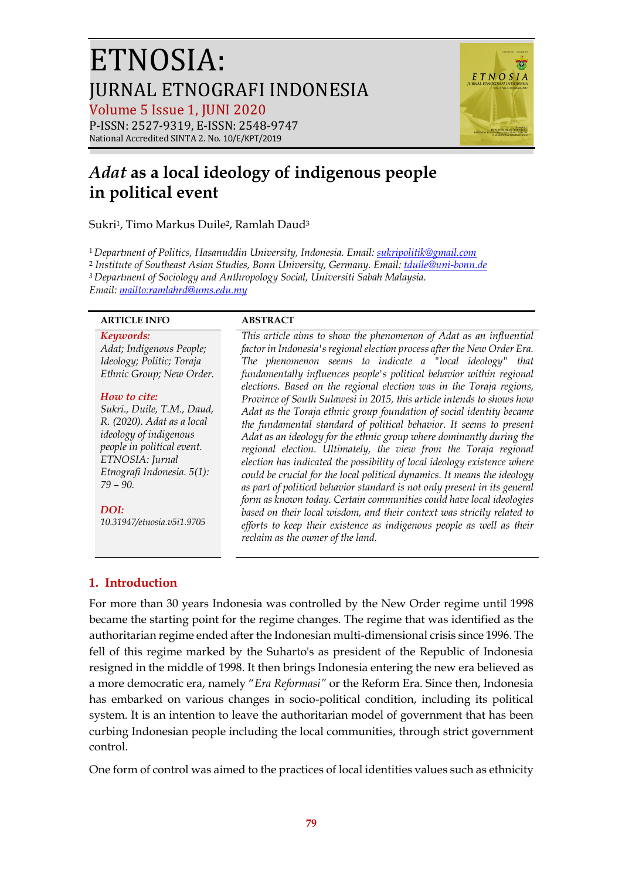# ETNOSIA: **JURNAL ETNOGRAFI INDONESIA** Volume 5 Issue 1, JUNI 2020



### P-ISSN: 2527-9319, E-ISSN: 2548-9747 National Accredited SINTA 2. No. 10/E/KPT/2019

## *Adat* **as a local ideology of indigenous people in political event**

Sukri1, Timo Markus Duile2, Ramlah Daud3

<sup>1</sup>*Department of Politics, Hasanuddin University, Indonesia. Email: sukripolitik@gmail.com*

<sup>2</sup> *Institute of Southeast Asian Studies, Bonn University, Germany. Email: tduile@uni-bonn.de*

*3 Department of Sociology and Anthropology Social, Universiti Sabah Malaysia.*

*Email: mailto:ramlahrd@ums.edu.my*

### **ARTICLE INFO ABSTRACT**

### *Keywords:*

*Adat; Indigenous People; Ideology; Politic; Toraja Ethnic Group; New Order.*

### *How to cite:*

*Sukri., Duile, T.M., Daud, R. (2020). Adat as a local ideology of indigenous people in political event. ETNOSIA: Jurnal Etnografi Indonesia. 5(1): 79 – 90.*

### *DOI:*

*10.31947/etnosia.v5i1.9705*

#### *factor in Indonesia's regional election process after the New Order Era. The phenomenon seems to indicate a "local ideology" that fundamentally influences people's political behavior within regional elections. Based on the regional election was in the Toraja regions, Province of South Sulawesi in 2015, this article intends to shows how Adat as the Toraja ethnic group foundation of social identity became the fundamental standard of political behavior. It seems to present Adat as an ideology for the ethnic group where dominantly during the regional election. Ultimately, the view from the Toraja regional election has indicated the possibility of local ideology existence where could be crucial for the local political dynamics. It means the ideology as part of political behavior standard is not only present in its general form as known today. Certain communities could have local ideologies based on their local wisdom, and their context was strictly related to efforts to keep their existence as indigenous people as well as their reclaim as the owner of the land.*

*This article aims to show the phenomenon of Adat as an influential* 

### **1. Introduction**

For more than 30 years Indonesia was controlled by the New Order regime until 1998 became the starting point for the regime changes. The regime that was identified as the authoritarian regime ended after the Indonesian multi-dimensional crisis since 1996. The fell of this regime marked by the Suharto's as president of the Republic of Indonesia resigned in the middle of 1998. It then brings Indonesia entering the new era believed as a more democratic era, namely "*Era Reformasi"* or the Reform Era. Since then, Indonesia has embarked on various changes in socio-political condition, including its political system. It is an intention to leave the authoritarian model of government that has been curbing Indonesian people including the local communities, through strict government control.

One form of control was aimed to the practices of local identities values such as ethnicity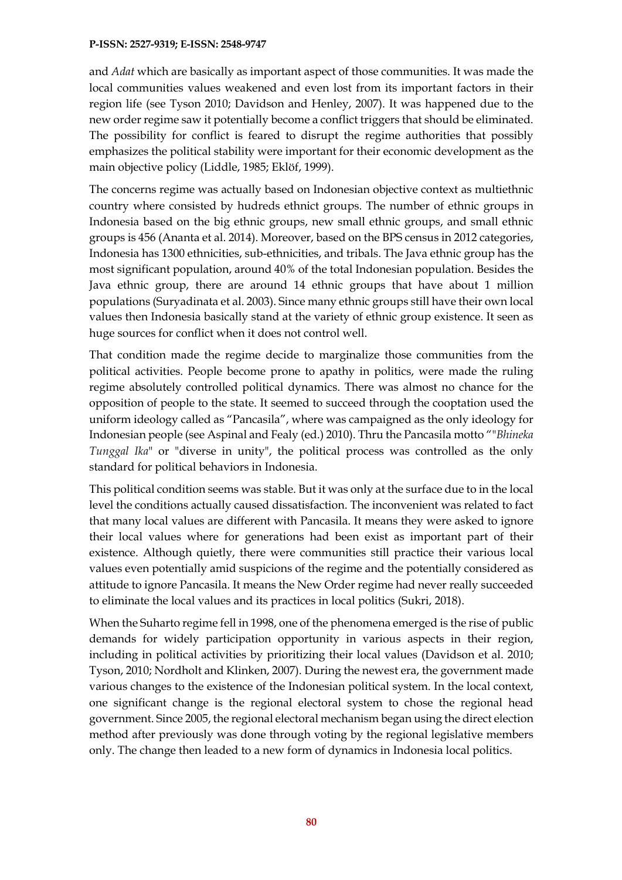and *Adat* which are basically as important aspect of those communities. It was made the local communities values weakened and even lost from its important factors in their region life (see Tyson 2010; Davidson and Henley, 2007). It was happened due to the new order regime saw it potentially become a conflict triggers that should be eliminated. The possibility for conflict is feared to disrupt the regime authorities that possibly emphasizes the political stability were important for their economic development as the main objective policy (Liddle, 1985; Eklöf, 1999).

The concerns regime was actually based on Indonesian objective context as multiethnic country where consisted by hudreds ethnict groups. The number of ethnic groups in Indonesia based on the big ethnic groups, new small ethnic groups, and small ethnic groups is 456 (Ananta et al. 2014). Moreover, based on the BPS census in 2012 categories, Indonesia has 1300 ethnicities, sub-ethnicities, and tribals. The Java ethnic group has the most significant population, around 40% of the total Indonesian population. Besides the Java ethnic group, there are around 14 ethnic groups that have about 1 million populations (Suryadinata et al. 2003). Since many ethnic groups still have their own local values then Indonesia basically stand at the variety of ethnic group existence. It seen as huge sources for conflict when it does not control well.

That condition made the regime decide to marginalize those communities from the political activities. People become prone to apathy in politics, were made the ruling regime absolutely controlled political dynamics. There was almost no chance for the opposition of people to the state. It seemed to succeed through the cooptation used the uniform ideology called as "Pancasila", where was campaigned as the only ideology for Indonesian people (see Aspinal and Fealy (ed.) 2010). Thru the Pancasila motto ""*Bhineka Tunggal Ika*" or "diverse in unity", the political process was controlled as the only standard for political behaviors in Indonesia.

This political condition seems was stable. But it was only at the surface due to in the local level the conditions actually caused dissatisfaction. The inconvenient was related to fact that many local values are different with Pancasila. It means they were asked to ignore their local values where for generations had been exist as important part of their existence. Although quietly, there were communities still practice their various local values even potentially amid suspicions of the regime and the potentially considered as attitude to ignore Pancasila. It means the New Order regime had never really succeeded to eliminate the local values and its practices in local politics (Sukri, 2018).

When the Suharto regime fell in 1998, one of the phenomena emerged is the rise of public demands for widely participation opportunity in various aspects in their region, including in political activities by prioritizing their local values (Davidson et al. 2010; Tyson, 2010; Nordholt and Klinken, 2007). During the newest era, the government made various changes to the existence of the Indonesian political system. In the local context, one significant change is the regional electoral system to chose the regional head government. Since 2005, the regional electoral mechanism began using the direct election method after previously was done through voting by the regional legislative members only. The change then leaded to a new form of dynamics in Indonesia local politics.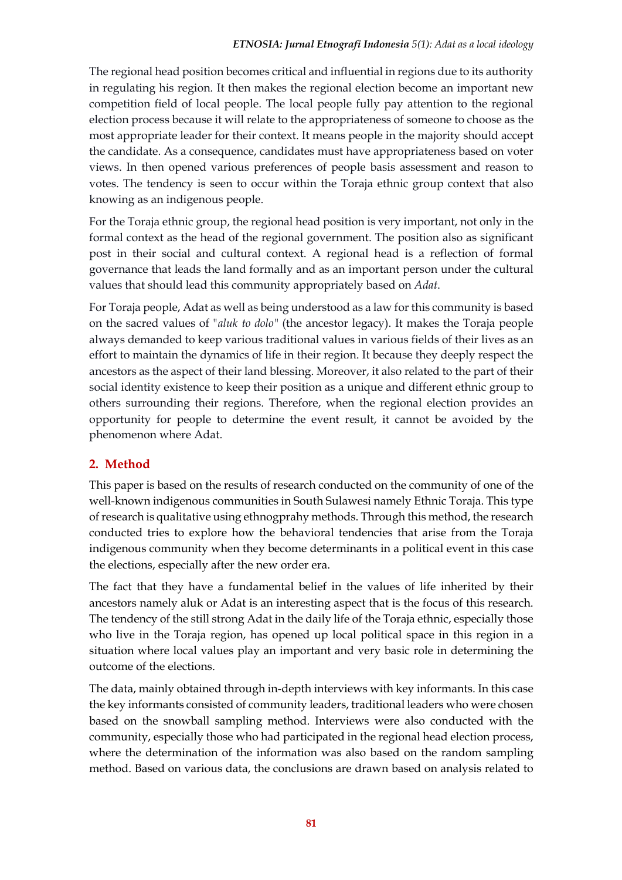### *ETNOSIA: Jurnal Etnografi Indonesia 5(1): Adat as a local ideology*

The regional head position becomes critical and influential in regions due to its authority in regulating his region. It then makes the regional election become an important new competition field of local people. The local people fully pay attention to the regional election process because it will relate to the appropriateness of someone to choose as the most appropriate leader for their context. It means people in the majority should accept the candidate. As a consequence, candidates must have appropriateness based on voter views. In then opened various preferences of people basis assessment and reason to votes. The tendency is seen to occur within the Toraja ethnic group context that also knowing as an indigenous people.

For the Toraja ethnic group, the regional head position is very important, not only in the formal context as the head of the regional government. The position also as significant post in their social and cultural context. A regional head is a reflection of formal governance that leads the land formally and as an important person under the cultural values that should lead this community appropriately based on *Adat*.

For Toraja people, Adat as well as being understood as a law for this community is based on the sacred values of *"aluk to dolo"* (the ancestor legacy). It makes the Toraja people always demanded to keep various traditional values in various fields of their lives as an effort to maintain the dynamics of life in their region. It because they deeply respect the ancestors as the aspect of their land blessing. Moreover, it also related to the part of their social identity existence to keep their position as a unique and different ethnic group to others surrounding their regions. Therefore, when the regional election provides an opportunity for people to determine the event result, it cannot be avoided by the phenomenon where Adat.

### **2. Method**

This paper is based on the results of research conducted on the community of one of the well-known indigenous communities in South Sulawesi namely Ethnic Toraja. This type of research is qualitative using ethnogprahy methods. Through this method, the research conducted tries to explore how the behavioral tendencies that arise from the Toraja indigenous community when they become determinants in a political event in this case the elections, especially after the new order era.

The fact that they have a fundamental belief in the values of life inherited by their ancestors namely aluk or Adat is an interesting aspect that is the focus of this research. The tendency of the still strong Adat in the daily life of the Toraja ethnic, especially those who live in the Toraja region, has opened up local political space in this region in a situation where local values play an important and very basic role in determining the outcome of the elections.

The data, mainly obtained through in-depth interviews with key informants. In this case the key informants consisted of community leaders, traditional leaders who were chosen based on the snowball sampling method. Interviews were also conducted with the community, especially those who had participated in the regional head election process, where the determination of the information was also based on the random sampling method. Based on various data, the conclusions are drawn based on analysis related to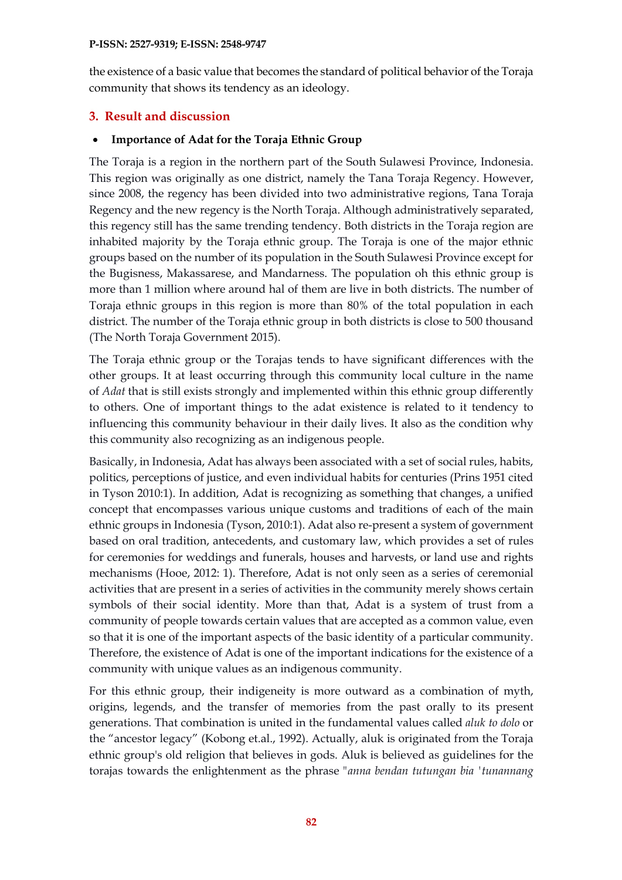the existence of a basic value that becomes the standard of political behavior of the Toraja community that shows its tendency as an ideology.

### **3. Result and discussion**

### • **Importance of Adat for the Toraja Ethnic Group**

The Toraja is a region in the northern part of the South Sulawesi Province, Indonesia. This region was originally as one district, namely the Tana Toraja Regency. However, since 2008, the regency has been divided into two administrative regions, Tana Toraja Regency and the new regency is the North Toraja. Although administratively separated, this regency still has the same trending tendency. Both districts in the Toraja region are inhabited majority by the Toraja ethnic group. The Toraja is one of the major ethnic groups based on the number of its population in the South Sulawesi Province except for the Bugisness, Makassarese, and Mandarness. The population oh this ethnic group is more than 1 million where around hal of them are live in both districts. The number of Toraja ethnic groups in this region is more than 80% of the total population in each district. The number of the Toraja ethnic group in both districts is close to 500 thousand (The North Toraja Government 2015).

The Toraja ethnic group or the Torajas tends to have significant differences with the other groups. It at least occurring through this community local culture in the name of *Adat* that is still exists strongly and implemented within this ethnic group differently to others. One of important things to the adat existence is related to it tendency to influencing this community behaviour in their daily lives. It also as the condition why this community also recognizing as an indigenous people.

Basically, in Indonesia, Adat has always been associated with a set of social rules, habits, politics, perceptions of justice, and even individual habits for centuries (Prins 1951 cited in Tyson 2010:1). In addition, Adat is recognizing as something that changes, a unified concept that encompasses various unique customs and traditions of each of the main ethnic groups in Indonesia (Tyson, 2010:1). Adat also re-present a system of government based on oral tradition, antecedents, and customary law, which provides a set of rules for ceremonies for weddings and funerals, houses and harvests, or land use and rights mechanisms (Hooe, 2012: 1). Therefore, Adat is not only seen as a series of ceremonial activities that are present in a series of activities in the community merely shows certain symbols of their social identity. More than that, Adat is a system of trust from a community of people towards certain values that are accepted as a common value, even so that it is one of the important aspects of the basic identity of a particular community. Therefore, the existence of Adat is one of the important indications for the existence of a community with unique values as an indigenous community.

For this ethnic group, their indigeneity is more outward as a combination of myth, origins, legends, and the transfer of memories from the past orally to its present generations. That combination is united in the fundamental values called *aluk to dolo* or the "ancestor legacy" (Kobong et.al., 1992). Actually, aluk is originated from the Toraja ethnic group's old religion that believes in gods. Aluk is believed as guidelines for the torajas towards the enlightenment as the phrase *"anna bendan tutungan bia 'tunannang*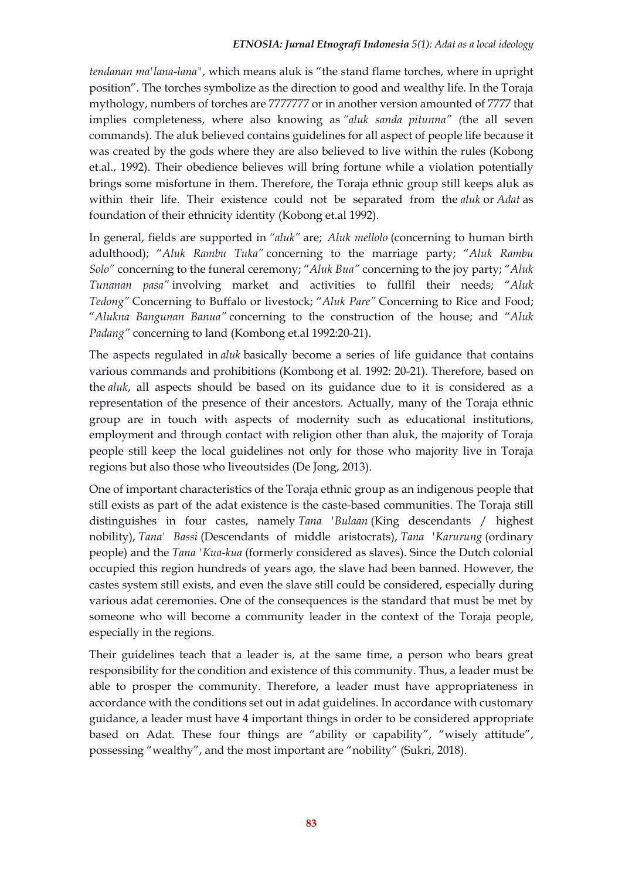*tendanan ma'lana-lana",* which means aluk is "the stand flame torches, where in upright position". The torches symbolize as the direction to good and wealthy life. In the Toraja mythology, numbers of torches are 7777777 or in another version amounted of 7777 that implies completeness, where also knowing as *"aluk sanda pitunna" (*the all seven commands). The aluk believed contains guidelines for all aspect of people life because it was created by the gods where they are also believed to live within the rules (Kobong et.al., 1992). Their obedience believes will bring fortune while a violation potentially brings some misfortune in them. Therefore, the Toraja ethnic group still keeps aluk as within their life. Their existence could not be separated from the *aluk* or *Adat* as foundation of their ethnicity identity (Kobong et.al 1992).

In general, fields are supported in *"aluk"* are; *Aluk mellolo* (concerning to human birth adulthood); "*Aluk Rambu Tuka"* concerning to the marriage party; "*Aluk Rambu Solo"* concerning to the funeral ceremony; "*Aluk Bua"* concerning to the joy party; "*Aluk Tunanan pasa"* involving market and activities to fullfil their needs; "*Aluk Tedong"* Concerning to Buffalo or livestock; "*Aluk Pare"* Concerning to Rice and Food; "*Alukna Bangunan Banua"* concerning to the construction of the house; and "*Aluk Padang"* concerning to land (Kombong et.al 1992:20-21).

The aspects regulated in *aluk* basically become a series of life guidance that contains various commands and prohibitions (Kombong et al. 1992: 20-21). Therefore, based on the *aluk*, all aspects should be based on its guidance due to it is considered as a representation of the presence of their ancestors. Actually, many of the Toraja ethnic group are in touch with aspects of modernity such as educational institutions, employment and through contact with religion other than aluk, the majority of Toraja people still keep the local guidelines not only for those who majority live in Toraja regions but also those who liveoutsides (De Jong, 2013).

One of important characteristics of the Toraja ethnic group as an indigenous people that still exists as part of the adat existence is the caste-based communities. The Toraja still distinguishes in four castes, namely *Tana 'Bulaan* (King descendants / highest nobility), *Tana' Bassi* (Descendants of middle aristocrats), *Tana 'Karurung* (ordinary people) and the *Tana 'Kua-kua* (formerly considered as slaves). Since the Dutch colonial occupied this region hundreds of years ago, the slave had been banned. However, the castes system still exists, and even the slave still could be considered, especially during various adat ceremonies. One of the consequences is the standard that must be met by someone who will become a community leader in the context of the Toraja people, especially in the regions.

Their guidelines teach that a leader is, at the same time, a person who bears great responsibility for the condition and existence of this community. Thus, a leader must be able to prosper the community. Therefore, a leader must have appropriateness in accordance with the conditions set out in adat guidelines. In accordance with customary guidance, a leader must have 4 important things in order to be considered appropriate based on Adat. These four things are "ability or capability", "wisely attitude", possessing "wealthy", and the most important are "nobility" (Sukri, 2018).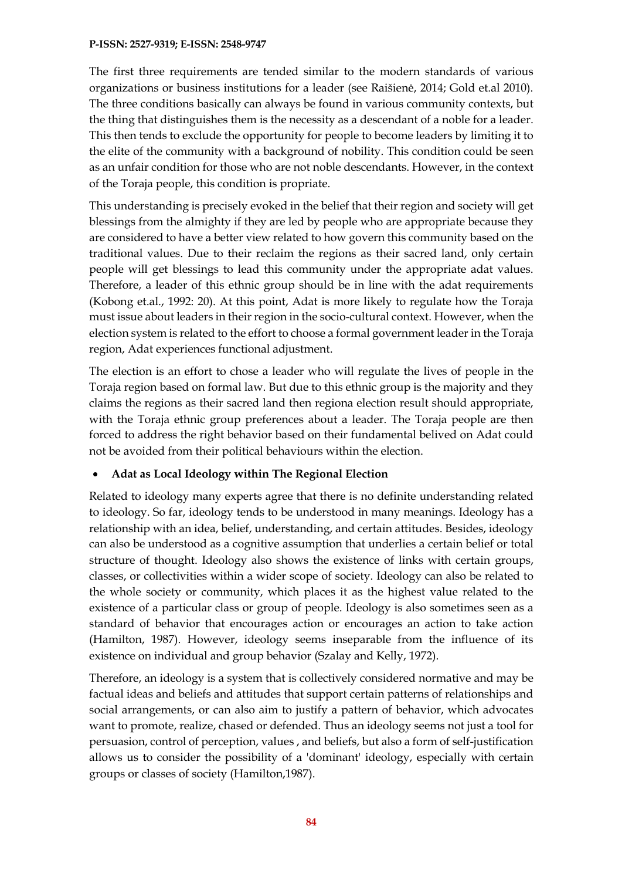The first three requirements are tended similar to the modern standards of various organizations or business institutions for a leader (see Raišienė, 2014; Gold et.al 2010). The three conditions basically can always be found in various community contexts, but the thing that distinguishes them is the necessity as a descendant of a noble for a leader. This then tends to exclude the opportunity for people to become leaders by limiting it to the elite of the community with a background of nobility. This condition could be seen as an unfair condition for those who are not noble descendants. However, in the context of the Toraja people, this condition is propriate.

This understanding is precisely evoked in the belief that their region and society will get blessings from the almighty if they are led by people who are appropriate because they are considered to have a better view related to how govern this community based on the traditional values. Due to their reclaim the regions as their sacred land, only certain people will get blessings to lead this community under the appropriate adat values. Therefore, a leader of this ethnic group should be in line with the adat requirements (Kobong et.al., 1992: 20). At this point, Adat is more likely to regulate how the Toraja must issue about leaders in their region in the socio-cultural context. However, when the election system is related to the effort to choose a formal government leader in the Toraja region, Adat experiences functional adjustment.

The election is an effort to chose a leader who will regulate the lives of people in the Toraja region based on formal law. But due to this ethnic group is the majority and they claims the regions as their sacred land then regiona election result should appropriate, with the Toraja ethnic group preferences about a leader. The Toraja people are then forced to address the right behavior based on their fundamental belived on Adat could not be avoided from their political behaviours within the election.

### • **Adat as Local Ideology within The Regional Election**

Related to ideology many experts agree that there is no definite understanding related to ideology. So far, ideology tends to be understood in many meanings. Ideology has a relationship with an idea, belief, understanding, and certain attitudes. Besides, ideology can also be understood as a cognitive assumption that underlies a certain belief or total structure of thought. Ideology also shows the existence of links with certain groups, classes, or collectivities within a wider scope of society. Ideology can also be related to the whole society or community, which places it as the highest value related to the existence of a particular class or group of people. Ideology is also sometimes seen as a standard of behavior that encourages action or encourages an action to take action (Hamilton, 1987). However, ideology seems inseparable from the influence of its existence on individual and group behavior (Szalay and Kelly, 1972).

Therefore, an ideology is a system that is collectively considered normative and may be factual ideas and beliefs and attitudes that support certain patterns of relationships and social arrangements, or can also aim to justify a pattern of behavior, which advocates want to promote, realize, chased or defended. Thus an ideology seems not just a tool for persuasion, control of perception, values , and beliefs, but also a form of self-justification allows us to consider the possibility of a 'dominant' ideology, especially with certain groups or classes of society (Hamilton,1987).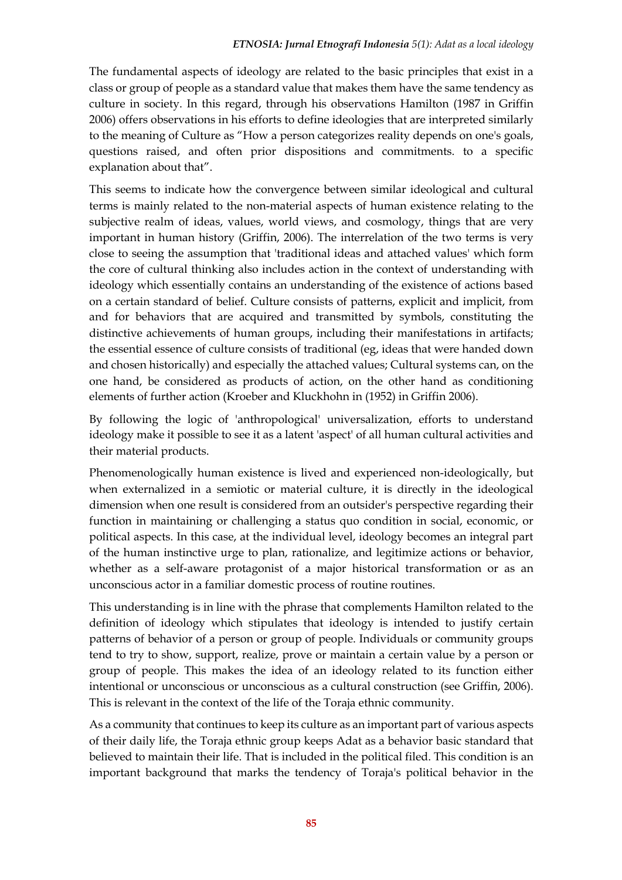The fundamental aspects of ideology are related to the basic principles that exist in a class or group of people as a standard value that makes them have the same tendency as culture in society. In this regard, through his observations Hamilton (1987 in Griffin 2006) offers observations in his efforts to define ideologies that are interpreted similarly to the meaning of Culture as "How a person categorizes reality depends on one's goals, questions raised, and often prior dispositions and commitments. to a specific explanation about that".

This seems to indicate how the convergence between similar ideological and cultural terms is mainly related to the non-material aspects of human existence relating to the subjective realm of ideas, values, world views, and cosmology, things that are very important in human history (Griffin, 2006). The interrelation of the two terms is very close to seeing the assumption that 'traditional ideas and attached values' which form the core of cultural thinking also includes action in the context of understanding with ideology which essentially contains an understanding of the existence of actions based on a certain standard of belief. Culture consists of patterns, explicit and implicit, from and for behaviors that are acquired and transmitted by symbols, constituting the distinctive achievements of human groups, including their manifestations in artifacts; the essential essence of culture consists of traditional (eg, ideas that were handed down and chosen historically) and especially the attached values; Cultural systems can, on the one hand, be considered as products of action, on the other hand as conditioning elements of further action (Kroeber and Kluckhohn in (1952) in Griffin 2006).

By following the logic of 'anthropological' universalization, efforts to understand ideology make it possible to see it as a latent 'aspect' of all human cultural activities and their material products.

Phenomenologically human existence is lived and experienced non-ideologically, but when externalized in a semiotic or material culture, it is directly in the ideological dimension when one result is considered from an outsider's perspective regarding their function in maintaining or challenging a status quo condition in social, economic, or political aspects. In this case, at the individual level, ideology becomes an integral part of the human instinctive urge to plan, rationalize, and legitimize actions or behavior, whether as a self-aware protagonist of a major historical transformation or as an unconscious actor in a familiar domestic process of routine routines.

This understanding is in line with the phrase that complements Hamilton related to the definition of ideology which stipulates that ideology is intended to justify certain patterns of behavior of a person or group of people. Individuals or community groups tend to try to show, support, realize, prove or maintain a certain value by a person or group of people. This makes the idea of an ideology related to its function either intentional or unconscious or unconscious as a cultural construction (see Griffin, 2006). This is relevant in the context of the life of the Toraja ethnic community.

As a community that continues to keep its culture as an important part of various aspects of their daily life, the Toraja ethnic group keeps Adat as a behavior basic standard that believed to maintain their life. That is included in the political filed. This condition is an important background that marks the tendency of Toraja's political behavior in the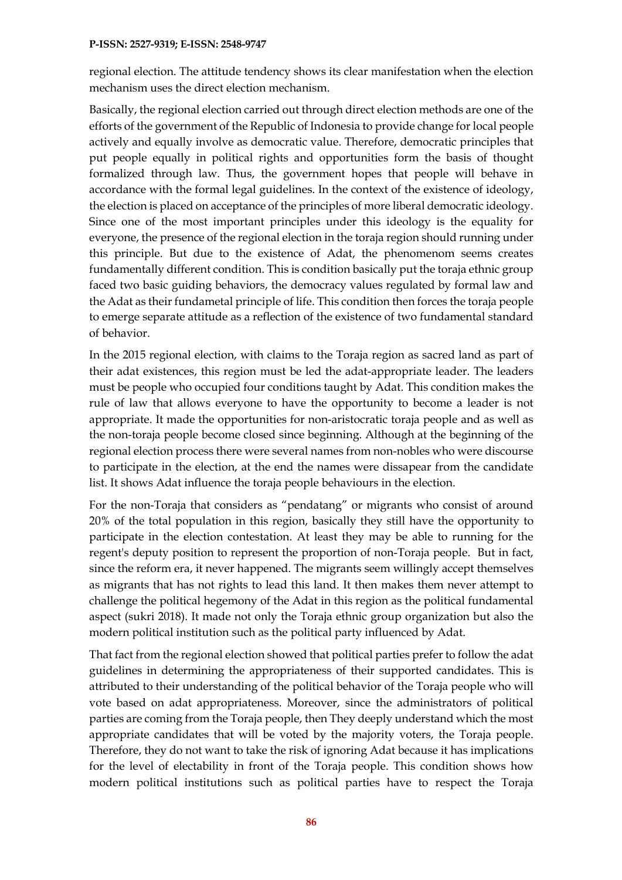regional election. The attitude tendency shows its clear manifestation when the election mechanism uses the direct election mechanism.

Basically, the regional election carried out through direct election methods are one of the efforts of the government of the Republic of Indonesia to provide change for local people actively and equally involve as democratic value. Therefore, democratic principles that put people equally in political rights and opportunities form the basis of thought formalized through law. Thus, the government hopes that people will behave in accordance with the formal legal guidelines. In the context of the existence of ideology, the election is placed on acceptance of the principles of more liberal democratic ideology. Since one of the most important principles under this ideology is the equality for everyone, the presence of the regional election in the toraja region should running under this principle. But due to the existence of Adat, the phenomenom seems creates fundamentally different condition. This is condition basically put the toraja ethnic group faced two basic guiding behaviors, the democracy values regulated by formal law and the Adat as their fundametal principle of life. This condition then forces the toraja people to emerge separate attitude as a reflection of the existence of two fundamental standard of behavior.

In the 2015 regional election, with claims to the Toraja region as sacred land as part of their adat existences, this region must be led the adat-appropriate leader. The leaders must be people who occupied four conditions taught by Adat. This condition makes the rule of law that allows everyone to have the opportunity to become a leader is not appropriate. It made the opportunities for non-aristocratic toraja people and as well as the non-toraja people become closed since beginning. Although at the beginning of the regional election process there were several names from non-nobles who were discourse to participate in the election, at the end the names were dissapear from the candidate list. It shows Adat influence the toraja people behaviours in the election.

For the non-Toraja that considers as "pendatang" or migrants who consist of around 20% of the total population in this region, basically they still have the opportunity to participate in the election contestation. At least they may be able to running for the regent's deputy position to represent the proportion of non-Toraja people. But in fact, since the reform era, it never happened. The migrants seem willingly accept themselves as migrants that has not rights to lead this land. It then makes them never attempt to challenge the political hegemony of the Adat in this region as the political fundamental aspect (sukri 2018). It made not only the Toraja ethnic group organization but also the modern political institution such as the political party influenced by Adat.

That fact from the regional election showed that political parties prefer to follow the adat guidelines in determining the appropriateness of their supported candidates. This is attributed to their understanding of the political behavior of the Toraja people who will vote based on adat appropriateness. Moreover, since the administrators of political parties are coming from the Toraja people, then They deeply understand which the most appropriate candidates that will be voted by the majority voters, the Toraja people. Therefore, they do not want to take the risk of ignoring Adat because it has implications for the level of electability in front of the Toraja people. This condition shows how modern political institutions such as political parties have to respect the Toraja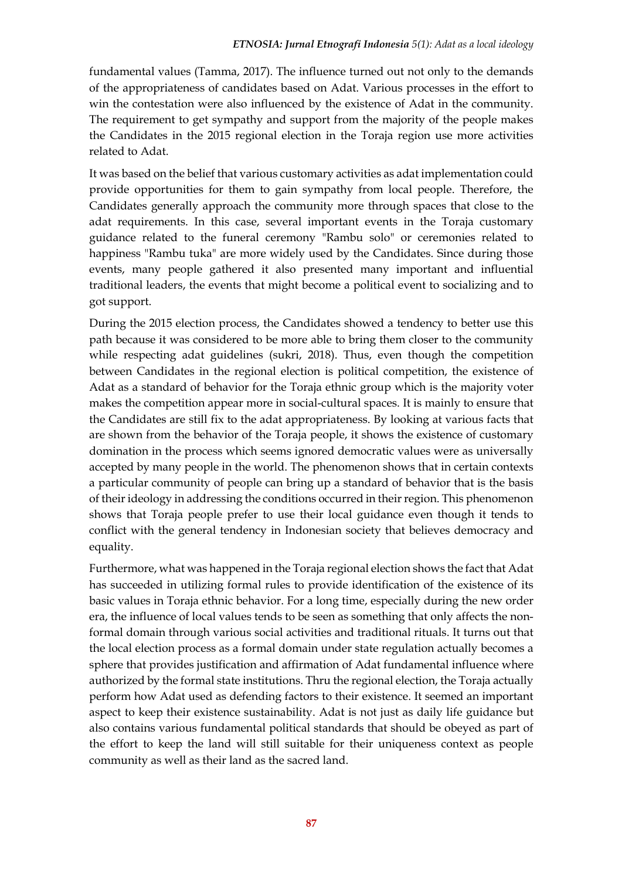fundamental values (Tamma, 2017). The influence turned out not only to the demands of the appropriateness of candidates based on Adat. Various processes in the effort to win the contestation were also influenced by the existence of Adat in the community. The requirement to get sympathy and support from the majority of the people makes the Candidates in the 2015 regional election in the Toraja region use more activities related to Adat.

It was based on the belief that various customary activities as adat implementation could provide opportunities for them to gain sympathy from local people. Therefore, the Candidates generally approach the community more through spaces that close to the adat requirements. In this case, several important events in the Toraja customary guidance related to the funeral ceremony "Rambu solo" or ceremonies related to happiness "Rambu tuka" are more widely used by the Candidates. Since during those events, many people gathered it also presented many important and influential traditional leaders, the events that might become a political event to socializing and to got support.

During the 2015 election process, the Candidates showed a tendency to better use this path because it was considered to be more able to bring them closer to the community while respecting adat guidelines (sukri, 2018). Thus, even though the competition between Candidates in the regional election is political competition, the existence of Adat as a standard of behavior for the Toraja ethnic group which is the majority voter makes the competition appear more in social-cultural spaces. It is mainly to ensure that the Candidates are still fix to the adat appropriateness. By looking at various facts that are shown from the behavior of the Toraja people, it shows the existence of customary domination in the process which seems ignored democratic values were as universally accepted by many people in the world. The phenomenon shows that in certain contexts a particular community of people can bring up a standard of behavior that is the basis of their ideology in addressing the conditions occurred in their region. This phenomenon shows that Toraja people prefer to use their local guidance even though it tends to conflict with the general tendency in Indonesian society that believes democracy and equality.

Furthermore, what was happened in the Toraja regional election shows the fact that Adat has succeeded in utilizing formal rules to provide identification of the existence of its basic values in Toraja ethnic behavior. For a long time, especially during the new order era, the influence of local values tends to be seen as something that only affects the nonformal domain through various social activities and traditional rituals. It turns out that the local election process as a formal domain under state regulation actually becomes a sphere that provides justification and affirmation of Adat fundamental influence where authorized by the formal state institutions. Thru the regional election, the Toraja actually perform how Adat used as defending factors to their existence. It seemed an important aspect to keep their existence sustainability. Adat is not just as daily life guidance but also contains various fundamental political standards that should be obeyed as part of the effort to keep the land will still suitable for their uniqueness context as people community as well as their land as the sacred land.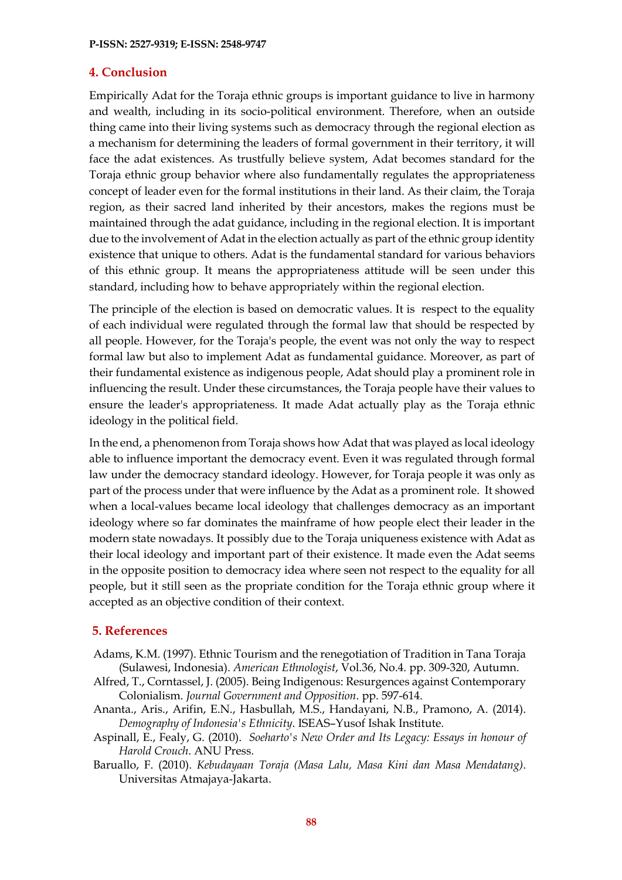### **4. Conclusion**

Empirically Adat for the Toraja ethnic groups is important guidance to live in harmony and wealth, including in its socio-political environment. Therefore, when an outside thing came into their living systems such as democracy through the regional election as a mechanism for determining the leaders of formal government in their territory, it will face the adat existences. As trustfully believe system, Adat becomes standard for the Toraja ethnic group behavior where also fundamentally regulates the appropriateness concept of leader even for the formal institutions in their land. As their claim, the Toraja region, as their sacred land inherited by their ancestors, makes the regions must be maintained through the adat guidance, including in the regional election. It is important due to the involvement of Adat in the election actually as part of the ethnic group identity existence that unique to others. Adat is the fundamental standard for various behaviors of this ethnic group. It means the appropriateness attitude will be seen under this standard, including how to behave appropriately within the regional election.

The principle of the election is based on democratic values. It is respect to the equality of each individual were regulated through the formal law that should be respected by all people. However, for the Toraja's people, the event was not only the way to respect formal law but also to implement Adat as fundamental guidance. Moreover, as part of their fundamental existence as indigenous people, Adat should play a prominent role in influencing the result. Under these circumstances, the Toraja people have their values to ensure the leader's appropriateness. It made Adat actually play as the Toraja ethnic ideology in the political field.

In the end, a phenomenon from Toraja shows how Adat that was played as local ideology able to influence important the democracy event. Even it was regulated through formal law under the democracy standard ideology. However, for Toraja people it was only as part of the process under that were influence by the Adat as a prominent role. It showed when a local-values became local ideology that challenges democracy as an important ideology where so far dominates the mainframe of how people elect their leader in the modern state nowadays. It possibly due to the Toraja uniqueness existence with Adat as their local ideology and important part of their existence. It made even the Adat seems in the opposite position to democracy idea where seen not respect to the equality for all people, but it still seen as the propriate condition for the Toraja ethnic group where it accepted as an objective condition of their context.

### **5. References**

- Adams, K.M. (1997). Ethnic Tourism and the renegotiation of Tradition in Tana Toraja (Sulawesi, Indonesia). *American Ethnologist*, Vol.36, No.4. pp. 309-320, Autumn.
- Alfred, T., Corntassel, J. (2005). Being Indigenous: Resurgences against Contemporary Colonialism. *Journal Government and Opposition*. pp. 597-614.
- Ananta., Aris., Arifin, E.N., Hasbullah, M.S., Handayani, N.B., Pramono, A. (2014). *Demography of Indonesia's Ethnicity*. ISEAS–Yusof Ishak Institute.
- Aspinall, E., Fealy, G. (2010). *Soeharto's New Order and Its Legacy: Essays in honour of Harold Crouch*. ANU Press.
- Baruallo, F. (2010). *Kebudayaan Toraja (Masa Lalu, Masa Kini dan Masa Mendatang)*. Universitas Atmajaya-Jakarta.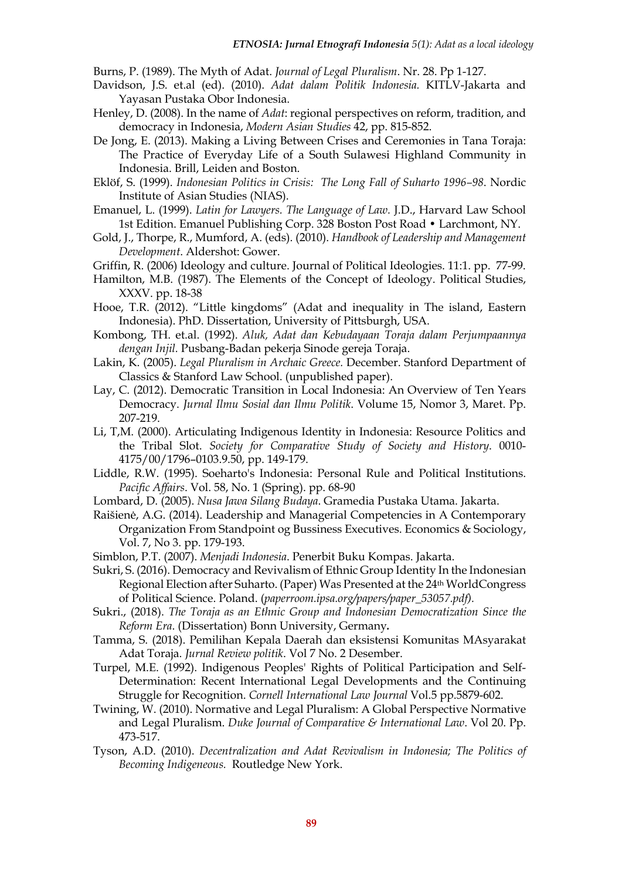Burns, P. (1989). The Myth of Adat. *Journal of Legal Pluralism*. Nr. 28. Pp 1-127.

- Davidson, J.S. et.al (ed). (2010). *Adat dalam Politik Indonesia.* KITLV-Jakarta and Yayasan Pustaka Obor Indonesia.
- Henley, D. (2008). In the name of *Adat*: regional perspectives on reform, tradition, and democracy in Indonesia, *Modern Asian Studies* 42, pp. 815-852.
- De Jong, E. (2013). Making a Living Between Crises and Ceremonies in Tana Toraja: The Practice of Everyday Life of a South Sulawesi Highland Community in Indonesia. Brill, Leiden and Boston.
- Eklöf, S. (1999). *Indonesian Politics in Crisis: The Long Fall of Suharto 1996–98*. Nordic Institute of Asian Studies (NIAS).
- Emanuel, L. (1999). *Latin for Lawyers. The Language of Law.* J.D., Harvard Law School 1st Edition. Emanuel Publishing Corp. 328 Boston Post Road • Larchmont, NY.
- Gold, J., Thorpe, R., Mumford, A. (eds). (2010). *Handbook of Leadership and Management Development*. Aldershot: Gower.
- Griffin, R. (2006) Ideology and culture. Journal of Political Ideologies. 11:1. pp. 77-99.
- Hamilton, M.B. (1987). The Elements of the Concept of Ideology. Political Studies, XXXV. pp. 18-38
- Hooe, T.R. (2012). "Little kingdoms" (Adat and inequality in The island, Eastern Indonesia). PhD. Dissertation, University of Pittsburgh, USA.
- Kombong, TH. et.al. (1992). *Aluk, Adat dan Kebudayaan Toraja dalam Perjumpaannya dengan Injil.* Pusbang-Badan pekerja Sinode gereja Toraja.
- Lakin, K. (2005). *Legal Pluralism in Archaic Greece.* December. Stanford Department of Classics & Stanford Law School. (unpublished paper).
- Lay, C. (2012). Democratic Transition in Local Indonesia: An Overview of Ten Years Democracy. *Jurnal Ilmu Sosial dan Ilmu Politik*. Volume 15, Nomor 3, Maret. Pp. 207-219.
- Li, T,M. (2000). Articulating Indigenous Identity in Indonesia: Resource Politics and the Tribal Slot. *Society for Comparative Study of Society and History*. 0010- 4175/00/1796–0103.9.50, pp. 149-179.
- Liddle, R.W. (1995). Soeharto's Indonesia: Personal Rule and Political Institutions. *Pacific Affairs*. Vol. 58, No. 1 (Spring). pp. 68-90
- Lombard, D. (2005). *Nusa Jawa Silang Budaya*. Gramedia Pustaka Utama. Jakarta.
- Raišienė, A.G. (2014). Leadership and Managerial Competencies in A Contemporary Organization From Standpoint og Bussiness Executives. Economics & Sociology, Vol. 7, No 3. pp. 179-193.
- Simblon, P.T. (2007). *Menjadi Indonesia*. Penerbit Buku Kompas. Jakarta.
- Sukri, S. (2016). Democracy and Revivalism of Ethnic Group Identity In the Indonesian Regional Election after Suharto. (Paper) Was Presented at the 24th WorldCongress of Political Science. Poland. (*paperroom.ipsa.org/papers/paper\_53057.pdf).*
- Sukri., (2018). *The Toraja as an Ethnic Group and Indonesian Democratization Since the Reform Era*. (Dissertation) Bonn University, Germany*.*
- Tamma, S. (2018). Pemilihan Kepala Daerah dan eksistensi Komunitas MAsyarakat Adat Toraja. *Jurnal Review politik*. Vol 7 No. 2 Desember.
- Turpel, M.E. (1992). Indigenous Peoples' Rights of Political Participation and Self-Determination: Recent International Legal Developments and the Continuing Struggle for Recognition. *Cornell International Law Journal* Vol.5 pp.5879-602.
- Twining, W. (2010). Normative and Legal Pluralism: A Global Perspective Normative and Legal Pluralism. *Duke Journal of Comparative & International Law*. Vol 20. Pp. 473-517.
- Tyson, A.D. (2010). *Decentralization and Adat Revivalism in Indonesia; The Politics of Becoming Indigeneous.* Routledge New York.